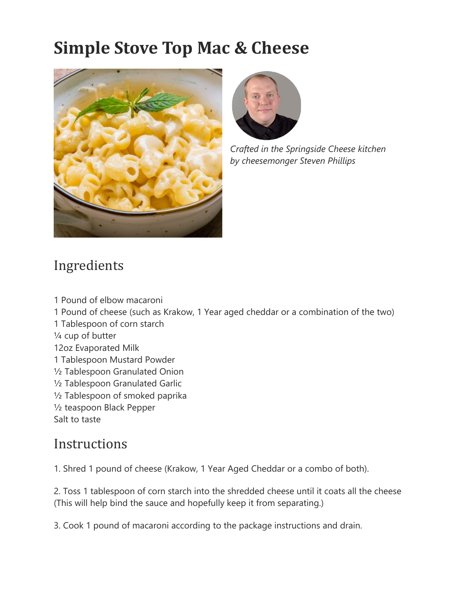## **Simple Stove Top Mac & Cheese**





*Crafted in the Springside Cheese kitchen by cheesemonger Steven Phillips*

## Ingredients

1 Pound of elbow macaroni 1 Pound of cheese (such as Krakow, 1 Year aged cheddar or a combination of the two) 1 Tablespoon of corn starch ¼ cup of butter 12oz Evaporated Milk 1 Tablespoon Mustard Powder ½ Tablespoon Granulated Onion ½ Tablespoon Granulated Garlic ½ Tablespoon of smoked paprika ½ teaspoon Black Pepper Salt to taste

## **Instructions**

1. Shred 1 pound of cheese (Krakow, 1 Year Aged Cheddar or a combo of both).

2. Toss 1 tablespoon of corn starch into the shredded cheese until it coats all the cheese (This will help bind the sauce and hopefully keep it from separating.)

3. Cook 1 pound of macaroni according to the package instructions and drain.